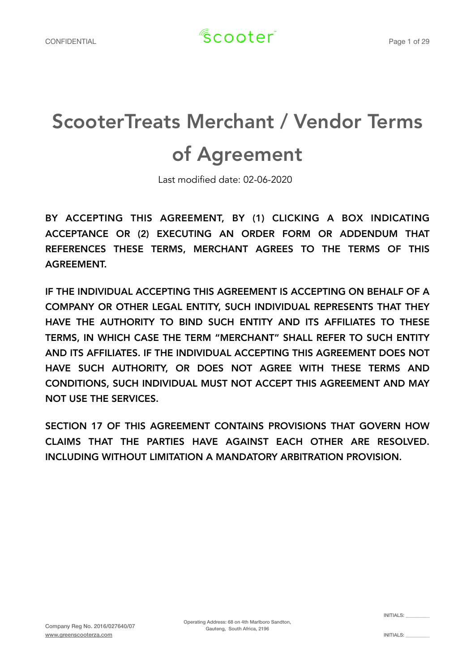# ScooterTreats Merchant / Vendor Terms of Agreement

Last modified date: 02-06-2020

BY ACCEPTING THIS AGREEMENT, BY (1) CLICKING A BOX INDICATING ACCEPTANCE OR (2) EXECUTING AN ORDER FORM OR ADDENDUM THAT REFERENCES THESE TERMS, MERCHANT AGREES TO THE TERMS OF THIS AGREEMENT.

IF THE INDIVIDUAL ACCEPTING THIS AGREEMENT IS ACCEPTING ON BEHALF OF A COMPANY OR OTHER LEGAL ENTITY, SUCH INDIVIDUAL REPRESENTS THAT THEY HAVE THE AUTHORITY TO BIND SUCH ENTITY AND ITS AFFILIATES TO THESE TERMS, IN WHICH CASE THE TERM "MERCHANT" SHALL REFER TO SUCH ENTITY AND ITS AFFILIATES. IF THE INDIVIDUAL ACCEPTING THIS AGREEMENT DOES NOT HAVE SUCH AUTHORITY, OR DOES NOT AGREE WITH THESE TERMS AND CONDITIONS, SUCH INDIVIDUAL MUST NOT ACCEPT THIS AGREEMENT AND MAY NOT USE THE SERVICES.

SECTION 17 OF THIS AGREEMENT CONTAINS PROVISIONS THAT GOVERN HOW CLAIMS THAT THE PARTIES HAVE AGAINST EACH OTHER ARE RESOLVED. INCLUDING WITHOUT LIMITATION A MANDATORY ARBITRATION PROVISION.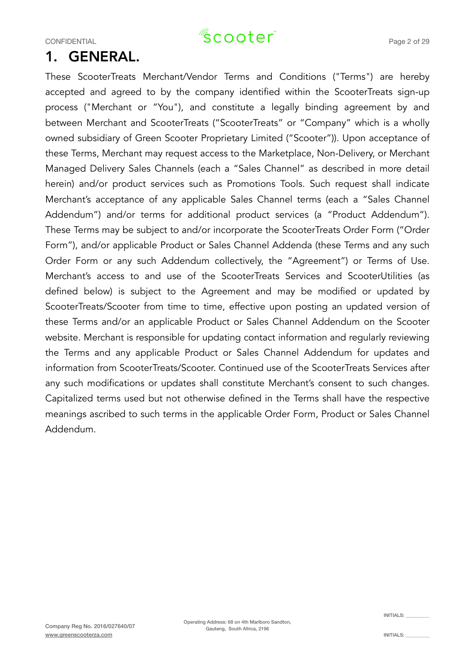### 1. GENERAL.

These ScooterTreats Merchant/Vendor Terms and Conditions ("Terms") are hereby accepted and agreed to by the company identified within the ScooterTreats sign-up process ("Merchant or "You"), and constitute a legally binding agreement by and between Merchant and ScooterTreats ("ScooterTreats" or "Company" which is a wholly owned subsidiary of Green Scooter Proprietary Limited ("Scooter")). Upon acceptance of these Terms, Merchant may request access to the Marketplace, Non-Delivery, or Merchant Managed Delivery Sales Channels (each a "Sales Channel" as described in more detail herein) and/or product services such as Promotions Tools. Such request shall indicate Merchant's acceptance of any applicable Sales Channel terms (each a "Sales Channel Addendum") and/or terms for additional product services (a "Product Addendum"). These Terms may be subject to and/or incorporate the ScooterTreats Order Form ("Order Form"), and/or applicable Product or Sales Channel Addenda (these Terms and any such Order Form or any such Addendum collectively, the "Agreement") or Terms of Use. Merchant's access to and use of the ScooterTreats Services and ScooterUtilities (as defined below) is subject to the Agreement and may be modified or updated by ScooterTreats/Scooter from time to time, effective upon posting an updated version of these Terms and/or an applicable Product or Sales Channel Addendum on the Scooter website. Merchant is responsible for updating contact information and regularly reviewing the Terms and any applicable Product or Sales Channel Addendum for updates and information from ScooterTreats/Scooter. Continued use of the ScooterTreats Services after any such modifications or updates shall constitute Merchant's consent to such changes. Capitalized terms used but not otherwise defined in the Terms shall have the respective meanings ascribed to such terms in the applicable Order Form, Product or Sales Channel Addendum.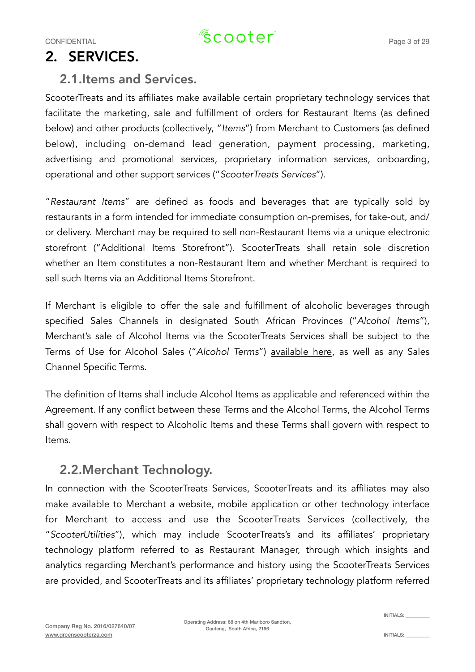### 2. SERVICES.

#### 2.1.Items and Services.

ScooterTreats and its affiliates make available certain proprietary technology services that facilitate the marketing, sale and fulfillment of orders for Restaurant Items (as defined below) and other products (collectively, "*Items*") from Merchant to Customers (as defined below), including on-demand lead generation, payment processing, marketing, advertising and promotional services, proprietary information services, onboarding, operational and other support services ("*ScooterTreats Services*").

"*Restaurant Items*" are defined as foods and beverages that are typically sold by restaurants in a form intended for immediate consumption on-premises, for take-out, and/ or delivery. Merchant may be required to sell non-Restaurant Items via a unique electronic storefront ("Additional Items Storefront"). ScooterTreats shall retain sole discretion whether an Item constitutes a non-Restaurant Item and whether Merchant is required to sell such Items via an Additional Items Storefront.

If Merchant is eligible to offer the sale and fulfillment of alcoholic beverages through specified Sales Channels in designated South African Provinces ("*Alcohol Items*"), Merchant's sale of Alcohol Items via the ScooterTreats Services shall be subject to the Terms of Use for Alcohol Sales ("*Alcohol Terms*") [available here](https://www.uber.com/legal/en/document/?name=uber-eats-merchant-alcohol-terms-of-use&country=united-states&lang=en), as well as any Sales Channel Specific Terms.

The definition of Items shall include Alcohol Items as applicable and referenced within the Agreement. If any conflict between these Terms and the Alcohol Terms, the Alcohol Terms shall govern with respect to Alcoholic Items and these Terms shall govern with respect to Items.

#### 2.2.Merchant Technology.

In connection with the ScooterTreats Services, ScooterTreats and its affiliates may also make available to Merchant a website, mobile application or other technology interface for Merchant to access and use the ScooterTreats Services (collectively, the "*ScooterUtilities*"), which may include ScooterTreats's and its affiliates' proprietary technology platform referred to as Restaurant Manager, through which insights and analytics regarding Merchant's performance and history using the ScooterTreats Services are provided, and ScooterTreats and its affiliates' proprietary technology platform referred

INITIALS: \_\_\_\_\_\_\_\_\_\_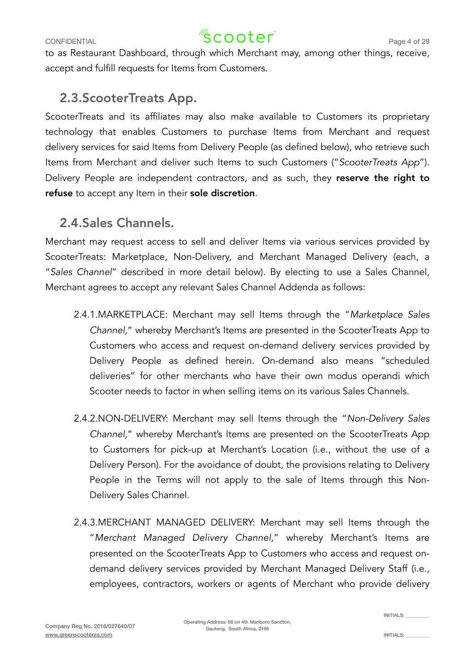### CONFIDENTIAL  $\sqrt{2}$  COOter<sup>"</sup>

to as Restaurant Dashboard, through which Merchant may, among other things, receive, accept and fulfill requests for Items from Customers.

#### 2.3.ScooterTreats App.

ScooterTreats and its affiliates may also make available to Customers its proprietary technology that enables Customers to purchase Items from Merchant and request delivery services for said Items from Delivery People (as defined below), who retrieve such Items from Merchant and deliver such Items to such Customers ("*ScooterTreats App*"). Delivery People are independent contractors, and as such, they reserve the right to refuse to accept any Item in their sole discretion.

#### 2.4.Sales Channels.

Merchant may request access to sell and deliver Items via various services provided by ScooterTreats: Marketplace, Non-Delivery, and Merchant Managed Delivery (each, a "*Sales Channel*" described in more detail below). By electing to use a Sales Channel, Merchant agrees to accept any relevant Sales Channel Addenda as follows:

- 2.4.1.MARKETPLACE: Merchant may sell Items through the "*Marketplace Sales Channel*," whereby Merchant's Items are presented in the ScooterTreats App to Customers who access and request on-demand delivery services provided by Delivery People as defined herein. On-demand also means "scheduled deliveries" for other merchants who have their own modus operandi which Scooter needs to factor in when selling items on its various Sales Channels.
- 2.4.2.NON-DELIVERY: Merchant may sell Items through the "*Non-Delivery Sales Channel,*" whereby Merchant's Items are presented on the ScooterTreats App to Customers for pick-up at Merchant's Location (i.e., without the use of a Delivery Person). For the avoidance of doubt, the provisions relating to Delivery People in the Terms will not apply to the sale of Items through this Non-Delivery Sales Channel.
- 2.4.3.MERCHANT MANAGED DELIVERY: Merchant may sell Items through the "*Merchant Managed Delivery Channel,*" whereby Merchant's Items are presented on the ScooterTreats App to Customers who access and request ondemand delivery services provided by Merchant Managed Delivery Staff (i.e., employees, contractors, workers or agents of Merchant who provide delivery

Operating Address: 68 on 4th Marlboro Sandton, Gauteng, South Africa, 2196

INITIALS: \_\_\_\_\_\_\_\_\_\_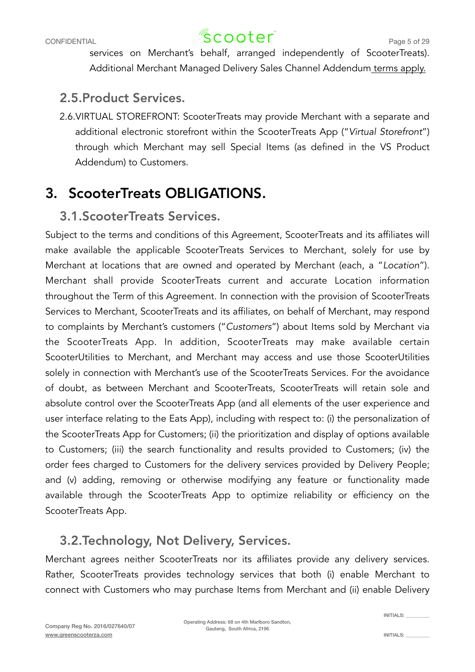### CONFIDENTIAL  $\sqrt{2}$  COOter<sup>"</sup>

services on Merchant's behalf, arranged independently of ScooterTreats). Additional Merchant Managed Delivery Sales Channel Addendum [terms apply.](https://www.uber.com/legal/en/document/?name=uber-eats---merchant-managed-delivery-sales-channel-addendum&country=united-states&lang=en)

#### 2.5.Product Services.

2.6.VIRTUAL STOREFRONT: ScooterTreats may provide Merchant with a separate and additional electronic storefront within the ScooterTreats App ("*Virtual Storefront*") through which Merchant may sell Special Items (as defined in the VS Product Addendum) to Customers.

### 3. ScooterTreats OBLIGATIONS.

#### 3.1.ScooterTreats Services.

Subject to the terms and conditions of this Agreement, ScooterTreats and its affiliates will make available the applicable ScooterTreats Services to Merchant, solely for use by Merchant at locations that are owned and operated by Merchant (each, a "*Location*"). Merchant shall provide ScooterTreats current and accurate Location information throughout the Term of this Agreement. In connection with the provision of ScooterTreats Services to Merchant, ScooterTreats and its affiliates, on behalf of Merchant, may respond to complaints by Merchant's customers ("*Customers*") about Items sold by Merchant via the ScooterTreats App. In addition, ScooterTreats may make available certain ScooterUtilities to Merchant, and Merchant may access and use those ScooterUtilities solely in connection with Merchant's use of the ScooterTreats Services. For the avoidance of doubt, as between Merchant and ScooterTreats, ScooterTreats will retain sole and absolute control over the ScooterTreats App (and all elements of the user experience and user interface relating to the Eats App), including with respect to: (i) the personalization of the ScooterTreats App for Customers; (ii) the prioritization and display of options available to Customers; (iii) the search functionality and results provided to Customers; (iv) the order fees charged to Customers for the delivery services provided by Delivery People; and (v) adding, removing or otherwise modifying any feature or functionality made available through the ScooterTreats App to optimize reliability or efficiency on the ScooterTreats App.

#### 3.2.Technology, Not Delivery, Services.

Merchant agrees neither ScooterTreats nor its affiliates provide any delivery services. Rather, ScooterTreats provides technology services that both (i) enable Merchant to connect with Customers who may purchase Items from Merchant and (ii) enable Delivery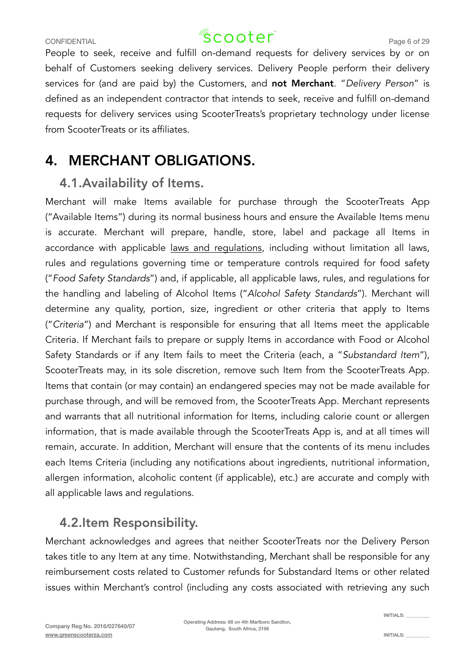### CONFIDENTIAL  $\sqrt{2}$  COOTer<sup>"</sup> Page 6 of 29

People to seek, receive and fulfill on-demand requests for delivery services by or on behalf of Customers seeking delivery services. Delivery People perform their delivery services for (and are paid by) the Customers, and not Merchant. "*Delivery Person*" is defined as an independent contractor that intends to seek, receive and fulfill on-demand requests for delivery services using ScooterTreats's proprietary technology under license from ScooterTreats or its affiliates.

### 4. MERCHANT OBLIGATIONS.

#### 4.1.Availability of Items.

Merchant will make Items available for purchase through the ScooterTreats App ("Available Items") during its normal business hours and ensure the Available Items menu is accurate. Merchant will prepare, handle, store, label and package all Items in accordance with applicable [laws and regulations](http://www.health.gov.za/index.php/gf-tb-program/401-regulations-governing-general-hygiene-requirements-for-food-premises-the-transport-of-food-and-related-matters-r638-of-2018), including without limitation all laws, rules and regulations governing time or temperature controls required for food safety ("*Food Safety Standards*") and, if applicable, all applicable laws, rules, and regulations for the handling and labeling of Alcohol Items ("*Alcohol Safety Standards*"). Merchant will determine any quality, portion, size, ingredient or other criteria that apply to Items ("*Criteria*") and Merchant is responsible for ensuring that all Items meet the applicable Criteria. If Merchant fails to prepare or supply Items in accordance with Food or Alcohol Safety Standards or if any Item fails to meet the Criteria (each, a "*Substandard Item*"), ScooterTreats may, in its sole discretion, remove such Item from the ScooterTreats App. Items that contain (or may contain) an endangered species may not be made available for purchase through, and will be removed from, the ScooterTreats App. Merchant represents and warrants that all nutritional information for Items, including calorie count or allergen information, that is made available through the ScooterTreats App is, and at all times will remain, accurate. In addition, Merchant will ensure that the contents of its menu includes each Items Criteria (including any notifications about ingredients, nutritional information, allergen information, alcoholic content (if applicable), etc.) are accurate and comply with all applicable laws and regulations.

#### 4.2.Item Responsibility.

Merchant acknowledges and agrees that neither ScooterTreats nor the Delivery Person takes title to any Item at any time. Notwithstanding, Merchant shall be responsible for any reimbursement costs related to Customer refunds for Substandard Items or other related issues within Merchant's control (including any costs associated with retrieving any such

Operating Address: 68 on 4th Marlboro Sandton, Gauteng, South Africa, 2196

INITIALS: \_\_\_\_\_\_\_\_\_\_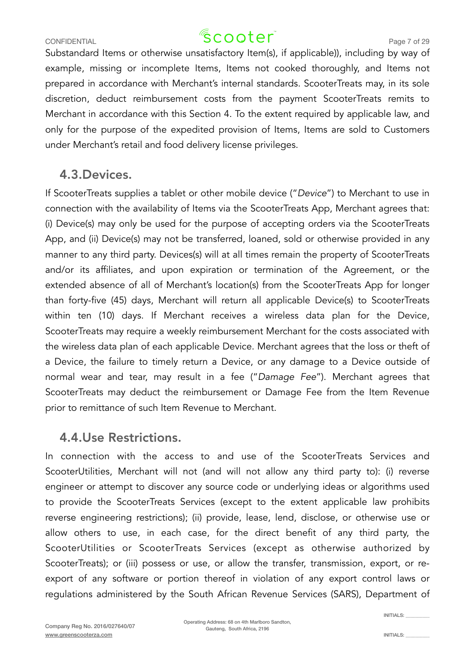### CONFIDENTIAL  $\sqrt{2}$  COOTer<sup>"</sup> Page 7 of 29

Substandard Items or otherwise unsatisfactory Item(s), if applicable)), including by way of example, missing or incomplete Items, Items not cooked thoroughly, and Items not prepared in accordance with Merchant's internal standards. ScooterTreats may, in its sole discretion, deduct reimbursement costs from the payment ScooterTreats remits to Merchant in accordance with this Section 4. To the extent required by applicable law, and only for the purpose of the expedited provision of Items, Items are sold to Customers under Merchant's retail and food delivery license privileges.

#### 4.3.Devices.

If ScooterTreats supplies a tablet or other mobile device ("*Device*") to Merchant to use in connection with the availability of Items via the ScooterTreats App, Merchant agrees that: (i) Device(s) may only be used for the purpose of accepting orders via the ScooterTreats App, and (ii) Device(s) may not be transferred, loaned, sold or otherwise provided in any manner to any third party. Devices(s) will at all times remain the property of ScooterTreats and/or its affiliates, and upon expiration or termination of the Agreement, or the extended absence of all of Merchant's location(s) from the ScooterTreats App for longer than forty-five (45) days, Merchant will return all applicable Device(s) to ScooterTreats within ten (10) days. If Merchant receives a wireless data plan for the Device, ScooterTreats may require a weekly reimbursement Merchant for the costs associated with the wireless data plan of each applicable Device. Merchant agrees that the loss or theft of a Device, the failure to timely return a Device, or any damage to a Device outside of normal wear and tear, may result in a fee ("*Damage Fee*"). Merchant agrees that ScooterTreats may deduct the reimbursement or Damage Fee from the Item Revenue prior to remittance of such Item Revenue to Merchant.

#### 4.4.Use Restrictions.

In connection with the access to and use of the ScooterTreats Services and ScooterUtilities, Merchant will not (and will not allow any third party to): (i) reverse engineer or attempt to discover any source code or underlying ideas or algorithms used to provide the ScooterTreats Services (except to the extent applicable law prohibits reverse engineering restrictions); (ii) provide, lease, lend, disclose, or otherwise use or allow others to use, in each case, for the direct benefit of any third party, the ScooterUtilities or ScooterTreats Services (except as otherwise authorized by ScooterTreats); or (iii) possess or use, or allow the transfer, transmission, export, or reexport of any software or portion thereof in violation of any export control laws or regulations administered by the South African Revenue Services (SARS), Department of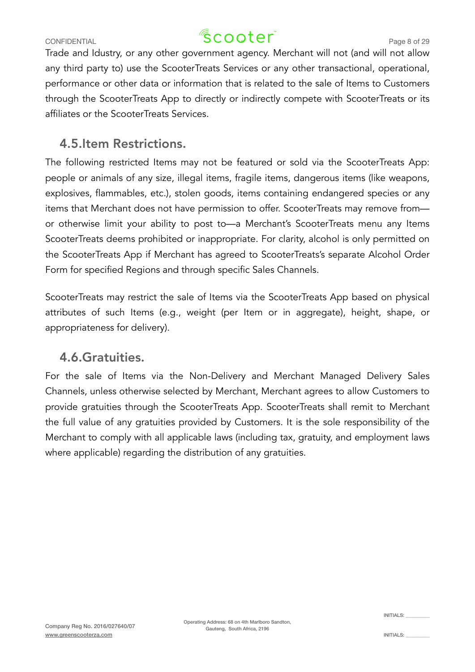### CONFIDENTIAL  $\sqrt{2}$  COOTer<sup>"</sup> Page 8 of 29

Trade and Idustry, or any other government agency. Merchant will not (and will not allow any third party to) use the ScooterTreats Services or any other transactional, operational, performance or other data or information that is related to the sale of Items to Customers through the ScooterTreats App to directly or indirectly compete with ScooterTreats or its affiliates or the ScooterTreats Services.

#### 4.5.Item Restrictions.

The following restricted Items may not be featured or sold via the ScooterTreats App: people or animals of any size, illegal items, fragile items, dangerous items (like weapons, explosives, flammables, etc.), stolen goods, items containing endangered species or any items that Merchant does not have permission to offer. ScooterTreats may remove from or otherwise limit your ability to post to—a Merchant's ScooterTreats menu any Items ScooterTreats deems prohibited or inappropriate. For clarity, alcohol is only permitted on the ScooterTreats App if Merchant has agreed to ScooterTreats's separate Alcohol Order Form for specified Regions and through specific Sales Channels.

ScooterTreats may restrict the sale of Items via the ScooterTreats App based on physical attributes of such Items (e.g., weight (per Item or in aggregate), height, shape, or appropriateness for delivery).

#### 4.6.Gratuities.

For the sale of Items via the Non-Delivery and Merchant Managed Delivery Sales Channels, unless otherwise selected by Merchant, Merchant agrees to allow Customers to provide gratuities through the ScooterTreats App. ScooterTreats shall remit to Merchant the full value of any gratuities provided by Customers. It is the sole responsibility of the Merchant to comply with all applicable laws (including tax, gratuity, and employment laws where applicable) regarding the distribution of any gratuities.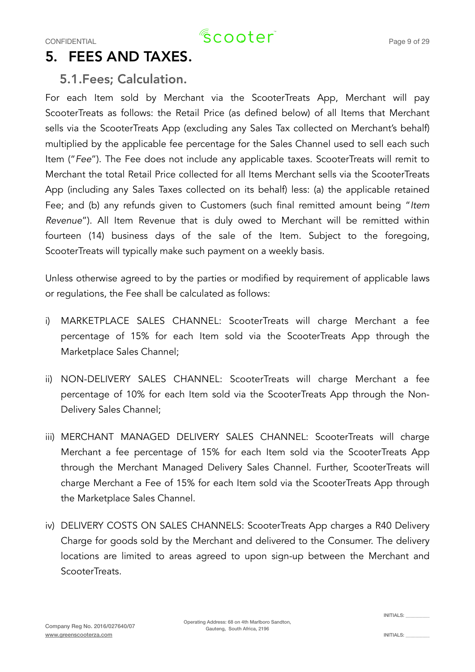### 5. FEES AND TAXES.

#### 5.1.Fees; Calculation.

For each Item sold by Merchant via the ScooterTreats App, Merchant will pay ScooterTreats as follows: the Retail Price (as defined below) of all Items that Merchant sells via the ScooterTreats App (excluding any Sales Tax collected on Merchant's behalf) multiplied by the applicable fee percentage for the Sales Channel used to sell each such Item ("*Fee*"). The Fee does not include any applicable taxes. ScooterTreats will remit to Merchant the total Retail Price collected for all Items Merchant sells via the ScooterTreats App (including any Sales Taxes collected on its behalf) less: (a) the applicable retained Fee; and (b) any refunds given to Customers (such final remitted amount being "*Item Revenue*"). All Item Revenue that is duly owed to Merchant will be remitted within fourteen (14) business days of the sale of the Item. Subject to the foregoing, ScooterTreats will typically make such payment on a weekly basis.

Unless otherwise agreed to by the parties or modified by requirement of applicable laws or regulations, the Fee shall be calculated as follows:

- i) MARKETPLACE SALES CHANNEL: ScooterTreats will charge Merchant a fee percentage of 15% for each Item sold via the ScooterTreats App through the Marketplace Sales Channel;
- ii) NON-DELIVERY SALES CHANNEL: ScooterTreats will charge Merchant a fee percentage of 10% for each Item sold via the ScooterTreats App through the Non-Delivery Sales Channel;
- iii) MERCHANT MANAGED DELIVERY SALES CHANNEL: ScooterTreats will charge Merchant a fee percentage of 15% for each Item sold via the ScooterTreats App through the Merchant Managed Delivery Sales Channel. Further, ScooterTreats will charge Merchant a Fee of 15% for each Item sold via the ScooterTreats App through the Marketplace Sales Channel.
- iv) DELIVERY COSTS ON SALES CHANNELS: ScooterTreats App charges a R40 Delivery Charge for goods sold by the Merchant and delivered to the Consumer. The delivery locations are limited to areas agreed to upon sign-up between the Merchant and ScooterTreats.

INITIALS: \_\_\_\_\_\_\_\_\_\_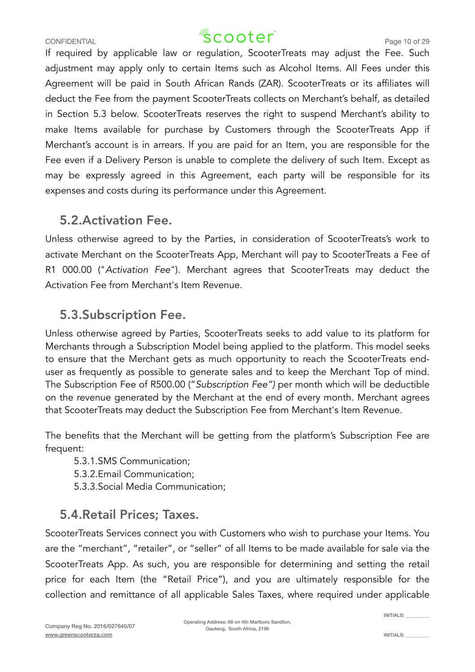### CONFIDENTIAL CONFIDENTIAL  $\sqrt{2}$  COO $\text{ter}^2$  Page 10 of 29

If required by applicable law or regulation, ScooterTreats may adjust the Fee. Such adjustment may apply only to certain Items such as Alcohol Items. All Fees under this Agreement will be paid in South African Rands (ZAR). ScooterTreats or its affiliates will deduct the Fee from the payment ScooterTreats collects on Merchant's behalf, as detailed in Section 5.3 below. ScooterTreats reserves the right to suspend Merchant's ability to make Items available for purchase by Customers through the ScooterTreats App if Merchant's account is in arrears. If you are paid for an Item, you are responsible for the Fee even if a Delivery Person is unable to complete the delivery of such Item. Except as may be expressly agreed in this Agreement, each party will be responsible for its expenses and costs during its performance under this Agreement.

#### 5.2.Activation Fee.

Unless otherwise agreed to by the Parties, in consideration of ScooterTreats's work to activate Merchant on the ScooterTreats App, Merchant will pay to ScooterTreats a Fee of R1 000.00 ("*Activation Fee*"). Merchant agrees that ScooterTreats may deduct the Activation Fee from Merchant's Item Revenue.

### 5.3.Subscription Fee.

Unless otherwise agreed by Parties, ScooterTreats seeks to add value to its platform for Merchants through a Subscription Model being applied to the platform. This model seeks to ensure that the Merchant gets as much opportunity to reach the ScooterTreats enduser as frequently as possible to generate sales and to keep the Merchant Top of mind. The Subscription Fee of R500.00 ("*Subscription Fee")* per month which will be deductible on the revenue generated by the Merchant at the end of every month. Merchant agrees that ScooterTreats may deduct the Subscription Fee from Merchant's Item Revenue.

The benefits that the Merchant will be getting from the platform's Subscription Fee are frequent:

5.3.1.SMS Communication;

5.3.2.Email Communication;

5.3.3.Social Media Communication;

#### 5.4.Retail Prices; Taxes.

ScooterTreats Services connect you with Customers who wish to purchase your Items. You are the "merchant", "retailer", or "seller" of all Items to be made available for sale via the ScooterTreats App. As such, you are responsible for determining and setting the retail price for each Item (the "Retail Price"), and you are ultimately responsible for the collection and remittance of all applicable Sales Taxes, where required under applicable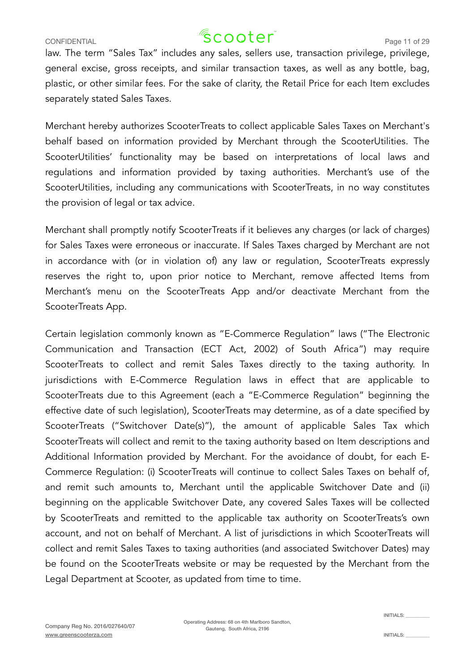### CONFIDENTIAL  $\sqrt{2}$  COOTer  $\sim$  Page 11 of 29

law. The term "Sales Tax" includes any sales, sellers use, transaction privilege, privilege, general excise, gross receipts, and similar transaction taxes, as well as any bottle, bag, plastic, or other similar fees. For the sake of clarity, the Retail Price for each Item excludes separately stated Sales Taxes.

Merchant hereby authorizes ScooterTreats to collect applicable Sales Taxes on Merchant's behalf based on information provided by Merchant through the ScooterUtilities. The ScooterUtilities' functionality may be based on interpretations of local laws and regulations and information provided by taxing authorities. Merchant's use of the ScooterUtilities, including any communications with ScooterTreats, in no way constitutes the provision of legal or tax advice.

Merchant shall promptly notify ScooterTreats if it believes any charges (or lack of charges) for Sales Taxes were erroneous or inaccurate. If Sales Taxes charged by Merchant are not in accordance with (or in violation of) any law or regulation, ScooterTreats expressly reserves the right to, upon prior notice to Merchant, remove affected Items from Merchant's menu on the ScooterTreats App and/or deactivate Merchant from the ScooterTreats App.

Certain legislation commonly known as "E-Commerce Regulation" laws ("The Electronic Communication and Transaction (ECT Act, 2002) of South Africa") may require ScooterTreats to collect and remit Sales Taxes directly to the taxing authority. In jurisdictions with E-Commerce Regulation laws in effect that are applicable to ScooterTreats due to this Agreement (each a "E-Commerce Regulation" beginning the effective date of such legislation), ScooterTreats may determine, as of a date specified by ScooterTreats ("Switchover Date(s)"), the amount of applicable Sales Tax which ScooterTreats will collect and remit to the taxing authority based on Item descriptions and Additional Information provided by Merchant. For the avoidance of doubt, for each E-Commerce Regulation: (i) ScooterTreats will continue to collect Sales Taxes on behalf of, and remit such amounts to, Merchant until the applicable Switchover Date and (ii) beginning on the applicable Switchover Date, any covered Sales Taxes will be collected by ScooterTreats and remitted to the applicable tax authority on ScooterTreats's own account, and not on behalf of Merchant. A list of jurisdictions in which ScooterTreats will collect and remit Sales Taxes to taxing authorities (and associated Switchover Dates) may be found on the ScooterTreats website or may be requested by the Merchant from the Legal Department at Scooter, as updated from time to time.

Operating Address: 68 on 4th Marlboro Sandton, Gauteng, South Africa, 2196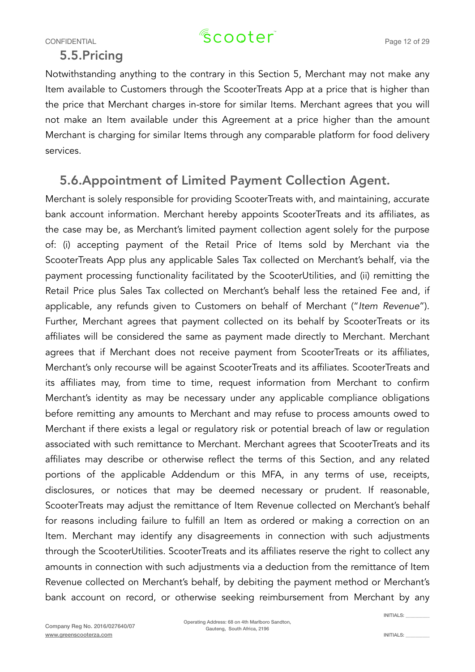#### 5.5.Pricing

Notwithstanding anything to the contrary in this Section 5, Merchant may not make any Item available to Customers through the ScooterTreats App at a price that is higher than the price that Merchant charges in-store for similar Items. Merchant agrees that you will not make an Item available under this Agreement at a price higher than the amount Merchant is charging for similar Items through any comparable platform for food delivery services.

#### 5.6.Appointment of Limited Payment Collection Agent.

Merchant is solely responsible for providing ScooterTreats with, and maintaining, accurate bank account information. Merchant hereby appoints ScooterTreats and its affiliates, as the case may be, as Merchant's limited payment collection agent solely for the purpose of: (i) accepting payment of the Retail Price of Items sold by Merchant via the ScooterTreats App plus any applicable Sales Tax collected on Merchant's behalf, via the payment processing functionality facilitated by the ScooterUtilities, and (ii) remitting the Retail Price plus Sales Tax collected on Merchant's behalf less the retained Fee and, if applicable, any refunds given to Customers on behalf of Merchant ("*Item Revenue*"). Further, Merchant agrees that payment collected on its behalf by ScooterTreats or its affiliates will be considered the same as payment made directly to Merchant. Merchant agrees that if Merchant does not receive payment from ScooterTreats or its affiliates, Merchant's only recourse will be against ScooterTreats and its affiliates. ScooterTreats and its affiliates may, from time to time, request information from Merchant to confirm Merchant's identity as may be necessary under any applicable compliance obligations before remitting any amounts to Merchant and may refuse to process amounts owed to Merchant if there exists a legal or regulatory risk or potential breach of law or regulation associated with such remittance to Merchant. Merchant agrees that ScooterTreats and its affiliates may describe or otherwise reflect the terms of this Section, and any related portions of the applicable Addendum or this MFA, in any terms of use, receipts, disclosures, or notices that may be deemed necessary or prudent. If reasonable, ScooterTreats may adjust the remittance of Item Revenue collected on Merchant's behalf for reasons including failure to fulfill an Item as ordered or making a correction on an Item. Merchant may identify any disagreements in connection with such adjustments through the ScooterUtilities. ScooterTreats and its affiliates reserve the right to collect any amounts in connection with such adjustments via a deduction from the remittance of Item Revenue collected on Merchant's behalf, by debiting the payment method or Merchant's bank account on record, or otherwise seeking reimbursement from Merchant by any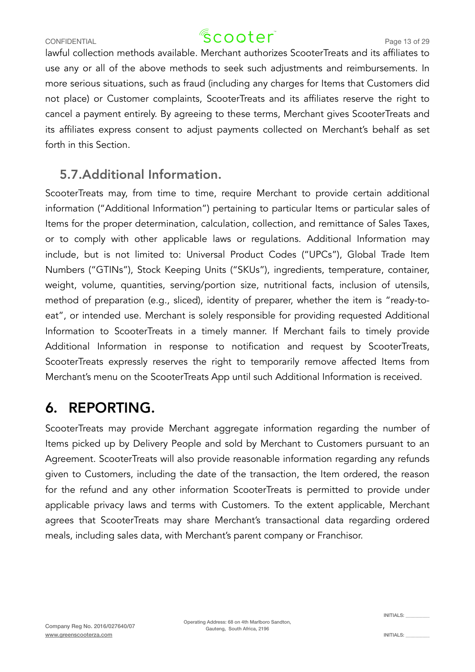lawful collection methods available. Merchant authorizes ScooterTreats and its affiliates to use any or all of the above methods to seek such adjustments and reimbursements. In more serious situations, such as fraud (including any charges for Items that Customers did not place) or Customer complaints, ScooterTreats and its affiliates reserve the right to cancel a payment entirely. By agreeing to these terms, Merchant gives ScooterTreats and its affiliates express consent to adjust payments collected on Merchant's behalf as set forth in this Section.

#### 5.7.Additional Information.

ScooterTreats may, from time to time, require Merchant to provide certain additional information ("Additional Information") pertaining to particular Items or particular sales of Items for the proper determination, calculation, collection, and remittance of Sales Taxes, or to comply with other applicable laws or regulations. Additional Information may include, but is not limited to: Universal Product Codes ("UPCs"), Global Trade Item Numbers ("GTINs"), Stock Keeping Units ("SKUs"), ingredients, temperature, container, weight, volume, quantities, serving/portion size, nutritional facts, inclusion of utensils, method of preparation (e.g., sliced), identity of preparer, whether the item is "ready-toeat", or intended use. Merchant is solely responsible for providing requested Additional Information to ScooterTreats in a timely manner. If Merchant fails to timely provide Additional Information in response to notification and request by ScooterTreats, ScooterTreats expressly reserves the right to temporarily remove affected Items from Merchant's menu on the ScooterTreats App until such Additional Information is received.

### 6. REPORTING.

ScooterTreats may provide Merchant aggregate information regarding the number of Items picked up by Delivery People and sold by Merchant to Customers pursuant to an Agreement. ScooterTreats will also provide reasonable information regarding any refunds given to Customers, including the date of the transaction, the Item ordered, the reason for the refund and any other information ScooterTreats is permitted to provide under applicable privacy laws and terms with Customers. To the extent applicable, Merchant agrees that ScooterTreats may share Merchant's transactional data regarding ordered meals, including sales data, with Merchant's parent company or Franchisor.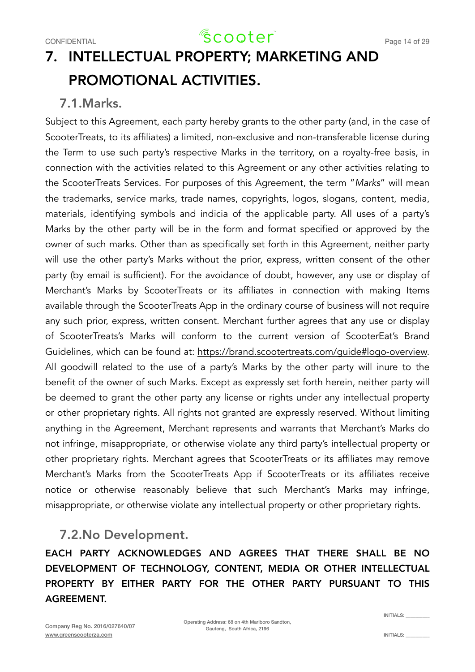## 7. INTELLECTUAL PROPERTY; MARKETING AND PROMOTIONAL ACTIVITIES.

#### 7.1.Marks.

Subject to this Agreement, each party hereby grants to the other party (and, in the case of ScooterTreats, to its affiliates) a limited, non-exclusive and non-transferable license during the Term to use such party's respective Marks in the territory, on a royalty-free basis, in connection with the activities related to this Agreement or any other activities relating to the ScooterTreats Services. For purposes of this Agreement, the term "*Marks*" will mean the trademarks, service marks, trade names, copyrights, logos, slogans, content, media, materials, identifying symbols and indicia of the applicable party. All uses of a party's Marks by the other party will be in the form and format specified or approved by the owner of such marks. Other than as specifically set forth in this Agreement, neither party will use the other party's Marks without the prior, express, written consent of the other party (by email is sufficient). For the avoidance of doubt, however, any use or display of Merchant's Marks by ScooterTreats or its affiliates in connection with making Items available through the ScooterTreats App in the ordinary course of business will not require any such prior, express, written consent. Merchant further agrees that any use or display of ScooterTreats's Marks will conform to the current version of ScooterEat's Brand Guidelines, which can be found at: [https://brand.scootertreats.com/guide#logo-overview.](https://about.scootertreats.com/logo/) All goodwill related to the use of a party's Marks by the other party will inure to the benefit of the owner of such Marks. Except as expressly set forth herein, neither party will be deemed to grant the other party any license or rights under any intellectual property or other proprietary rights. All rights not granted are expressly reserved. Without limiting anything in the Agreement, Merchant represents and warrants that Merchant's Marks do not infringe, misappropriate, or otherwise violate any third party's intellectual property or other proprietary rights. Merchant agrees that ScooterTreats or its affiliates may remove Merchant's Marks from the ScooterTreats App if ScooterTreats or its affiliates receive notice or otherwise reasonably believe that such Merchant's Marks may infringe, misappropriate, or otherwise violate any intellectual property or other proprietary rights.

#### 7.2.No Development.

EACH PARTY ACKNOWLEDGES AND AGREES THAT THERE SHALL BE NO DEVELOPMENT OF TECHNOLOGY, CONTENT, MEDIA OR OTHER INTELLECTUAL PROPERTY BY EITHER PARTY FOR THE OTHER PARTY PURSUANT TO THIS AGREEMENT.

INITIALS: \_\_\_\_\_\_\_\_\_\_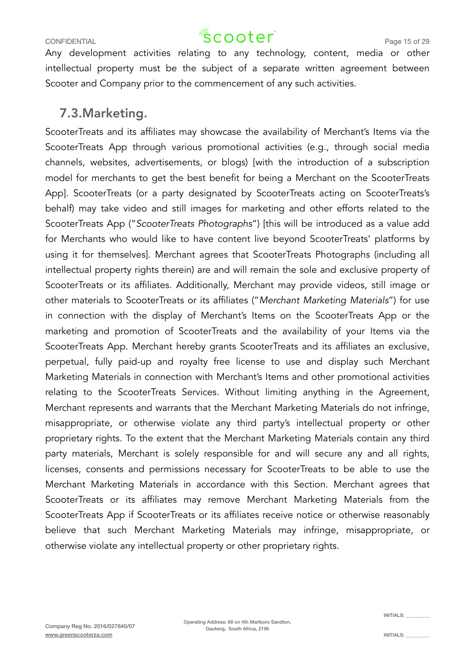### CONFIDENTIAL CONFIDENTIAL  $\sqrt{2}$  COO $\text{ter}^2$  Page 15 of 29

Any development activities relating to any technology, content, media or other intellectual property must be the subject of a separate written agreement between Scooter and Company prior to the commencement of any such activities.

#### 7.3.Marketing.

ScooterTreats and its affiliates may showcase the availability of Merchant's Items via the ScooterTreats App through various promotional activities (e.g., through social media channels, websites, advertisements, or blogs) [with the introduction of a subscription model for merchants to get the best benefit for being a Merchant on the ScooterTreats App]. ScooterTreats (or a party designated by ScooterTreats acting on ScooterTreats's behalf) may take video and still images for marketing and other efforts related to the ScooterTreats App ("*ScooterTreats Photographs*") [this will be introduced as a value add for Merchants who would like to have content live beyond ScooterTreats' platforms by using it for themselves]. Merchant agrees that ScooterTreats Photographs (including all intellectual property rights therein) are and will remain the sole and exclusive property of ScooterTreats or its affiliates. Additionally, Merchant may provide videos, still image or other materials to ScooterTreats or its affiliates ("*Merchant Marketing Materials*") for use in connection with the display of Merchant's Items on the ScooterTreats App or the marketing and promotion of ScooterTreats and the availability of your Items via the ScooterTreats App. Merchant hereby grants ScooterTreats and its affiliates an exclusive, perpetual, fully paid-up and royalty free license to use and display such Merchant Marketing Materials in connection with Merchant's Items and other promotional activities relating to the ScooterTreats Services. Without limiting anything in the Agreement, Merchant represents and warrants that the Merchant Marketing Materials do not infringe, misappropriate, or otherwise violate any third party's intellectual property or other proprietary rights. To the extent that the Merchant Marketing Materials contain any third party materials, Merchant is solely responsible for and will secure any and all rights, licenses, consents and permissions necessary for ScooterTreats to be able to use the Merchant Marketing Materials in accordance with this Section. Merchant agrees that ScooterTreats or its affiliates may remove Merchant Marketing Materials from the ScooterTreats App if ScooterTreats or its affiliates receive notice or otherwise reasonably believe that such Merchant Marketing Materials may infringe, misappropriate, or otherwise violate any intellectual property or other proprietary rights.

Operating Address: 68 on 4th Marlboro Sandton, Gauteng, South Africa, 2196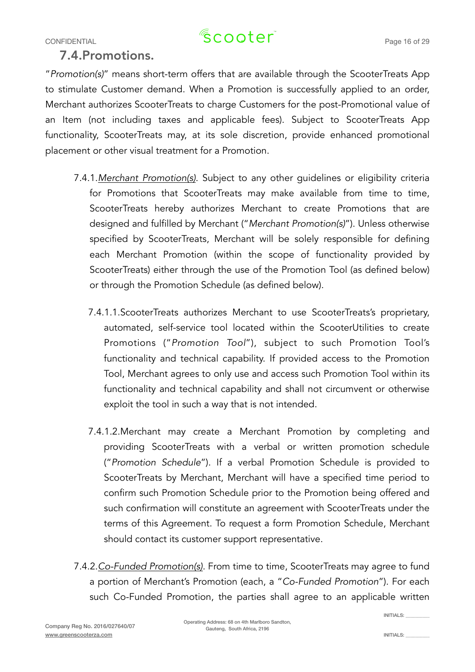## CONFIDENTIAL CONFIDENTIAL  $\sqrt{2}$  COO $\text{ter}^2$  Page 16 of 29

#### 7.4.Promotions.

"*Promotion(s)*" means short-term offers that are available through the ScooterTreats App to stimulate Customer demand. When a Promotion is successfully applied to an order, Merchant authorizes ScooterTreats to charge Customers for the post-Promotional value of an Item (not including taxes and applicable fees). Subject to ScooterTreats App functionality, ScooterTreats may, at its sole discretion, provide enhanced promotional placement or other visual treatment for a Promotion.

- 7.4.1.*Merchant Promotion(s)*. Subject to any other guidelines or eligibility criteria for Promotions that ScooterTreats may make available from time to time, ScooterTreats hereby authorizes Merchant to create Promotions that are designed and fulfilled by Merchant ("*Merchant Promotion(s)*"). Unless otherwise specified by ScooterTreats, Merchant will be solely responsible for defining each Merchant Promotion (within the scope of functionality provided by ScooterTreats) either through the use of the Promotion Tool (as defined below) or through the Promotion Schedule (as defined below).
	- 7.4.1.1.ScooterTreats authorizes Merchant to use ScooterTreats's proprietary, automated, self-service tool located within the ScooterUtilities to create Promotions ("*Promotion Tool*"), subject to such Promotion Tool's functionality and technical capability. If provided access to the Promotion Tool, Merchant agrees to only use and access such Promotion Tool within its functionality and technical capability and shall not circumvent or otherwise exploit the tool in such a way that is not intended.
	- 7.4.1.2.Merchant may create a Merchant Promotion by completing and providing ScooterTreats with a verbal or written promotion schedule ("*Promotion Schedule*"). If a verbal Promotion Schedule is provided to ScooterTreats by Merchant, Merchant will have a specified time period to confirm such Promotion Schedule prior to the Promotion being offered and such confirmation will constitute an agreement with ScooterTreats under the terms of this Agreement. To request a form Promotion Schedule, Merchant should contact its customer support representative.
- 7.4.2.*Co-Funded Promotion(s)*. From time to time, ScooterTreats may agree to fund a portion of Merchant's Promotion (each, a "*Co-Funded Promotion*"). For each such Co-Funded Promotion, the parties shall agree to an applicable written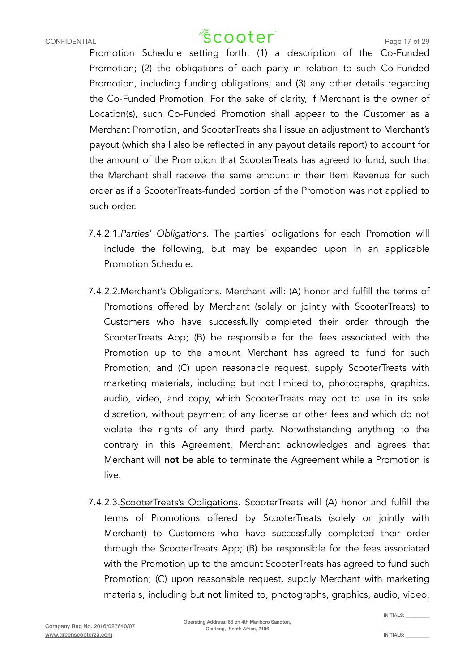### CONFIDENTIAL CONFIDENTIAL  $\sqrt{2}$  COO $\text{ter}^2$  Page 17 of 29

Promotion Schedule setting forth: (1) a description of the Co-Funded Promotion; (2) the obligations of each party in relation to such Co-Funded Promotion, including funding obligations; and (3) any other details regarding the Co-Funded Promotion. For the sake of clarity, if Merchant is the owner of Location(s), such Co-Funded Promotion shall appear to the Customer as a Merchant Promotion, and ScooterTreats shall issue an adjustment to Merchant's payout (which shall also be reflected in any payout details report) to account for the amount of the Promotion that ScooterTreats has agreed to fund, such that the Merchant shall receive the same amount in their Item Revenue for such order as if a ScooterTreats-funded portion of the Promotion was not applied to such order.

- 7.4.2.1.*Parties' Obligations*. The parties' obligations for each Promotion will include the following, but may be expanded upon in an applicable Promotion Schedule.
- 7.4.2.2.Merchant's Obligations. Merchant will: (A) honor and fulfill the terms of Promotions offered by Merchant (solely or jointly with ScooterTreats) to Customers who have successfully completed their order through the ScooterTreats App; (B) be responsible for the fees associated with the Promotion up to the amount Merchant has agreed to fund for such Promotion; and (C) upon reasonable request, supply ScooterTreats with marketing materials, including but not limited to, photographs, graphics, audio, video, and copy, which ScooterTreats may opt to use in its sole discretion, without payment of any license or other fees and which do not violate the rights of any third party. Notwithstanding anything to the contrary in this Agreement, Merchant acknowledges and agrees that Merchant will not be able to terminate the Agreement while a Promotion is live.
- 7.4.2.3.ScooterTreats's Obligations. ScooterTreats will (A) honor and fulfill the terms of Promotions offered by ScooterTreats (solely or jointly with Merchant) to Customers who have successfully completed their order through the ScooterTreats App; (B) be responsible for the fees associated with the Promotion up to the amount ScooterTreats has agreed to fund such Promotion; (C) upon reasonable request, supply Merchant with marketing materials, including but not limited to, photographs, graphics, audio, video,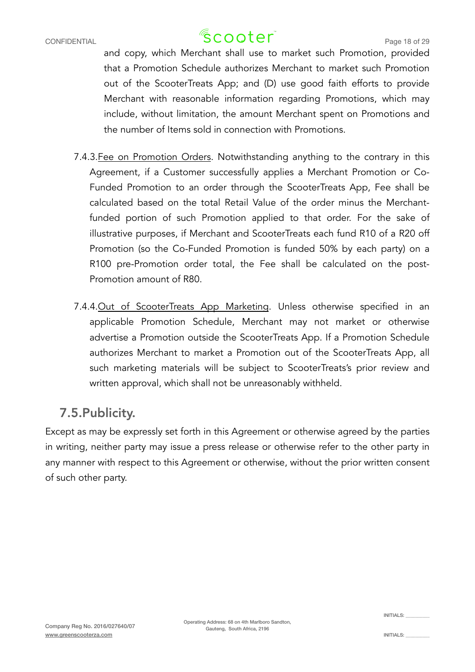### CONFIDENTIAL CONFIDENTIAL  $\sqrt{2}$  COO $\text{ter}^2$  Page 18 of 29

and copy, which Merchant shall use to market such Promotion, provided that a Promotion Schedule authorizes Merchant to market such Promotion out of the ScooterTreats App; and (D) use good faith efforts to provide Merchant with reasonable information regarding Promotions, which may include, without limitation, the amount Merchant spent on Promotions and the number of Items sold in connection with Promotions.

- 7.4.3.Fee on Promotion Orders. Notwithstanding anything to the contrary in this Agreement, if a Customer successfully applies a Merchant Promotion or Co-Funded Promotion to an order through the ScooterTreats App, Fee shall be calculated based on the total Retail Value of the order minus the Merchantfunded portion of such Promotion applied to that order. For the sake of illustrative purposes, if Merchant and ScooterTreats each fund R10 of a R20 off Promotion (so the Co-Funded Promotion is funded 50% by each party) on a R100 pre-Promotion order total, the Fee shall be calculated on the post-Promotion amount of R80.
- 7.4.4.Out of ScooterTreats App Marketing. Unless otherwise specified in an applicable Promotion Schedule, Merchant may not market or otherwise advertise a Promotion outside the ScooterTreats App. If a Promotion Schedule authorizes Merchant to market a Promotion out of the ScooterTreats App, all such marketing materials will be subject to ScooterTreats's prior review and written approval, which shall not be unreasonably withheld.

#### 7.5.Publicity.

Except as may be expressly set forth in this Agreement or otherwise agreed by the parties in writing, neither party may issue a press release or otherwise refer to the other party in any manner with respect to this Agreement or otherwise, without the prior written consent of such other party.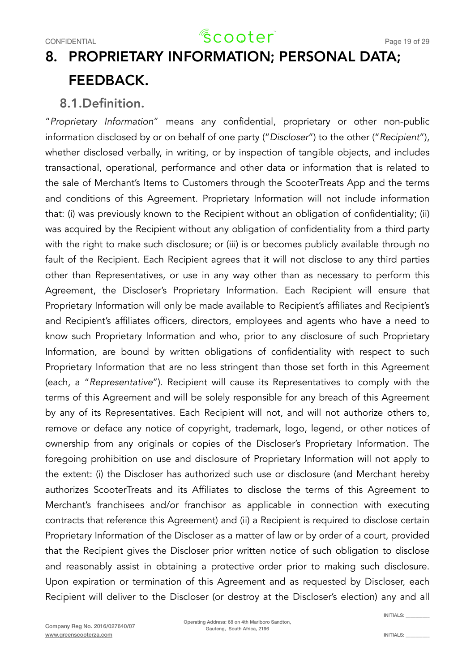### 8. PROPRIETARY INFORMATION; PERSONAL DATA; FEEDBACK.

#### 8.1.Definition.

"*Proprietary Information*" means any confidential, proprietary or other non-public information disclosed by or on behalf of one party ("*Discloser*") to the other ("*Recipient*"), whether disclosed verbally, in writing, or by inspection of tangible objects, and includes transactional, operational, performance and other data or information that is related to the sale of Merchant's Items to Customers through the ScooterTreats App and the terms and conditions of this Agreement. Proprietary Information will not include information that: (i) was previously known to the Recipient without an obligation of confidentiality; (ii) was acquired by the Recipient without any obligation of confidentiality from a third party with the right to make such disclosure; or (iii) is or becomes publicly available through no fault of the Recipient. Each Recipient agrees that it will not disclose to any third parties other than Representatives, or use in any way other than as necessary to perform this Agreement, the Discloser's Proprietary Information. Each Recipient will ensure that Proprietary Information will only be made available to Recipient's affiliates and Recipient's and Recipient's affiliates officers, directors, employees and agents who have a need to know such Proprietary Information and who, prior to any disclosure of such Proprietary Information, are bound by written obligations of confidentiality with respect to such Proprietary Information that are no less stringent than those set forth in this Agreement (each, a "*Representative*"). Recipient will cause its Representatives to comply with the terms of this Agreement and will be solely responsible for any breach of this Agreement by any of its Representatives. Each Recipient will not, and will not authorize others to, remove or deface any notice of copyright, trademark, logo, legend, or other notices of ownership from any originals or copies of the Discloser's Proprietary Information. The foregoing prohibition on use and disclosure of Proprietary Information will not apply to the extent: (i) the Discloser has authorized such use or disclosure (and Merchant hereby authorizes ScooterTreats and its Affiliates to disclose the terms of this Agreement to Merchant's franchisees and/or franchisor as applicable in connection with executing contracts that reference this Agreement) and (ii) a Recipient is required to disclose certain Proprietary Information of the Discloser as a matter of law or by order of a court, provided that the Recipient gives the Discloser prior written notice of such obligation to disclose and reasonably assist in obtaining a protective order prior to making such disclosure. Upon expiration or termination of this Agreement and as requested by Discloser, each Recipient will deliver to the Discloser (or destroy at the Discloser's election) any and all

 $INTIAI$   $S$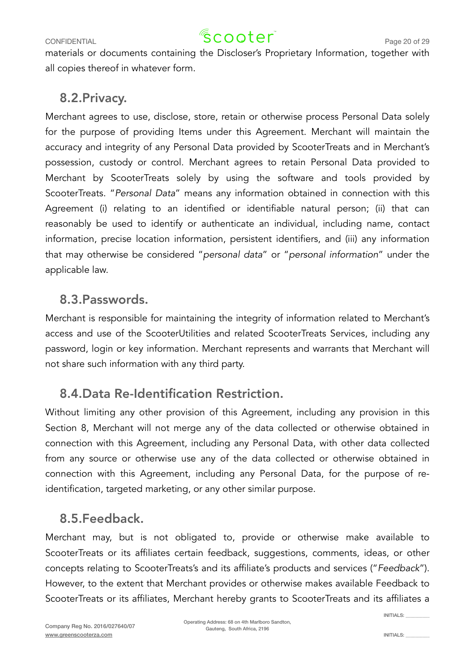### CONFIDENTIAL CONFIDENTIAL  $\sqrt{2}$  COOTer<sup>"</sup> Page 20 of 29

materials or documents containing the Discloser's Proprietary Information, together with all copies thereof in whatever form.

#### 8.2.Privacy.

Merchant agrees to use, disclose, store, retain or otherwise process Personal Data solely for the purpose of providing Items under this Agreement. Merchant will maintain the accuracy and integrity of any Personal Data provided by ScooterTreats and in Merchant's possession, custody or control. Merchant agrees to retain Personal Data provided to Merchant by ScooterTreats solely by using the software and tools provided by ScooterTreats. "*Personal Data*" means any information obtained in connection with this Agreement (i) relating to an identified or identifiable natural person; (ii) that can reasonably be used to identify or authenticate an individual, including name, contact information, precise location information, persistent identifiers, and (iii) any information that may otherwise be considered "*personal data*" or "*personal information*" under the applicable law.

#### 8.3.Passwords.

Merchant is responsible for maintaining the integrity of information related to Merchant's access and use of the ScooterUtilities and related ScooterTreats Services, including any password, login or key information. Merchant represents and warrants that Merchant will not share such information with any third party.

### 8.4.Data Re-Identification Restriction.

Without limiting any other provision of this Agreement, including any provision in this Section 8, Merchant will not merge any of the data collected or otherwise obtained in connection with this Agreement, including any Personal Data, with other data collected from any source or otherwise use any of the data collected or otherwise obtained in connection with this Agreement, including any Personal Data, for the purpose of reidentification, targeted marketing, or any other similar purpose.

### 8.5.Feedback.

Merchant may, but is not obligated to, provide or otherwise make available to ScooterTreats or its affiliates certain feedback, suggestions, comments, ideas, or other concepts relating to ScooterTreats's and its affiliate's products and services ("*Feedback*"). However, to the extent that Merchant provides or otherwise makes available Feedback to ScooterTreats or its affiliates, Merchant hereby grants to ScooterTreats and its affiliates a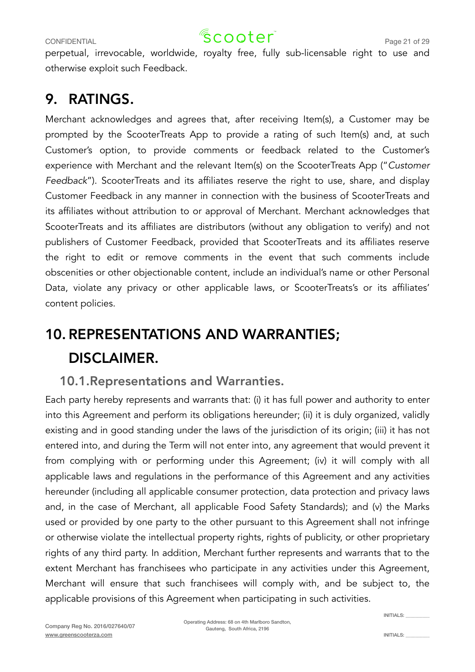### CONFIDENTIAL CONFIDENTIAL  $\sqrt{2}$  COO $\text{ter}^2$  Page 21 of 29

perpetual, irrevocable, worldwide, royalty free, fully sub-licensable right to use and otherwise exploit such Feedback.

### 9. RATINGS.

Merchant acknowledges and agrees that, after receiving Item(s), a Customer may be prompted by the ScooterTreats App to provide a rating of such Item(s) and, at such Customer's option, to provide comments or feedback related to the Customer's experience with Merchant and the relevant Item(s) on the ScooterTreats App ("*Customer Feedback*"). ScooterTreats and its affiliates reserve the right to use, share, and display Customer Feedback in any manner in connection with the business of ScooterTreats and its affiliates without attribution to or approval of Merchant. Merchant acknowledges that ScooterTreats and its affiliates are distributors (without any obligation to verify) and not publishers of Customer Feedback, provided that ScooterTreats and its affiliates reserve the right to edit or remove comments in the event that such comments include obscenities or other objectionable content, include an individual's name or other Personal Data, violate any privacy or other applicable laws, or ScooterTreats's or its affiliates' content policies.

## 10.REPRESENTATIONS AND WARRANTIES; DISCLAIMER.

#### 10.1.Representations and Warranties.

Each party hereby represents and warrants that: (i) it has full power and authority to enter into this Agreement and perform its obligations hereunder; (ii) it is duly organized, validly existing and in good standing under the laws of the jurisdiction of its origin; (iii) it has not entered into, and during the Term will not enter into, any agreement that would prevent it from complying with or performing under this Agreement; (iv) it will comply with all applicable laws and regulations in the performance of this Agreement and any activities hereunder (including all applicable consumer protection, data protection and privacy laws and, in the case of Merchant, all applicable Food Safety Standards); and (v) the Marks used or provided by one party to the other pursuant to this Agreement shall not infringe or otherwise violate the intellectual property rights, rights of publicity, or other proprietary rights of any third party. In addition, Merchant further represents and warrants that to the extent Merchant has franchisees who participate in any activities under this Agreement, Merchant will ensure that such franchisees will comply with, and be subject to, the applicable provisions of this Agreement when participating in such activities.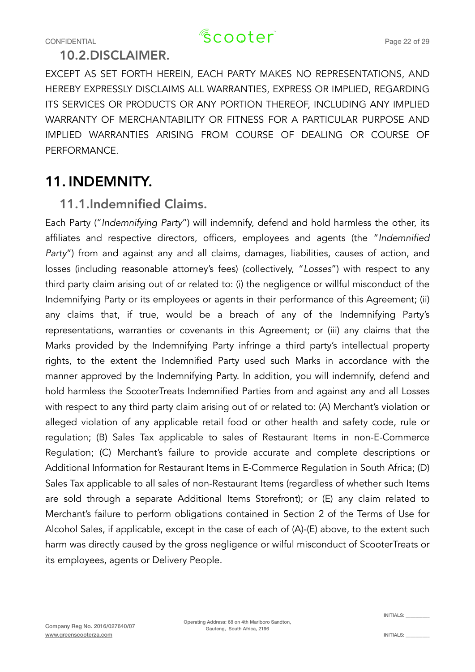#### 10.2.DISCLAIMER.

EXCEPT AS SET FORTH HEREIN, EACH PARTY MAKES NO REPRESENTATIONS, AND HEREBY EXPRESSLY DISCLAIMS ALL WARRANTIES, EXPRESS OR IMPLIED, REGARDING ITS SERVICES OR PRODUCTS OR ANY PORTION THEREOF, INCLUDING ANY IMPLIED WARRANTY OF MERCHANTABILITY OR FITNESS FOR A PARTICULAR PURPOSE AND IMPLIED WARRANTIES ARISING FROM COURSE OF DEALING OR COURSE OF PERFORMANCE.

### 11. INDEMNITY.

#### 11.1.Indemnified Claims.

Each Party ("*Indemnifying Party*") will indemnify, defend and hold harmless the other, its affiliates and respective directors, officers, employees and agents (the "*Indemnified Party*") from and against any and all claims, damages, liabilities, causes of action, and losses (including reasonable attorney's fees) (collectively, "*Losses*") with respect to any third party claim arising out of or related to: (i) the negligence or willful misconduct of the Indemnifying Party or its employees or agents in their performance of this Agreement; (ii) any claims that, if true, would be a breach of any of the Indemnifying Party's representations, warranties or covenants in this Agreement; or (iii) any claims that the Marks provided by the Indemnifying Party infringe a third party's intellectual property rights, to the extent the Indemnified Party used such Marks in accordance with the manner approved by the Indemnifying Party. In addition, you will indemnify, defend and hold harmless the ScooterTreats Indemnified Parties from and against any and all Losses with respect to any third party claim arising out of or related to: (A) Merchant's violation or alleged violation of any applicable retail food or other health and safety code, rule or regulation; (B) Sales Tax applicable to sales of Restaurant Items in non-E-Commerce Regulation; (C) Merchant's failure to provide accurate and complete descriptions or Additional Information for Restaurant Items in E-Commerce Regulation in South Africa; (D) Sales Tax applicable to all sales of non-Restaurant Items (regardless of whether such Items are sold through a separate Additional Items Storefront); or (E) any claim related to Merchant's failure to perform obligations contained in Section 2 of the Terms of Use for Alcohol Sales, if applicable, except in the case of each of (A)-(E) above, to the extent such harm was directly caused by the gross negligence or wilful misconduct of ScooterTreats or its employees, agents or Delivery People.

INITIALS: \_\_\_\_\_\_\_\_\_\_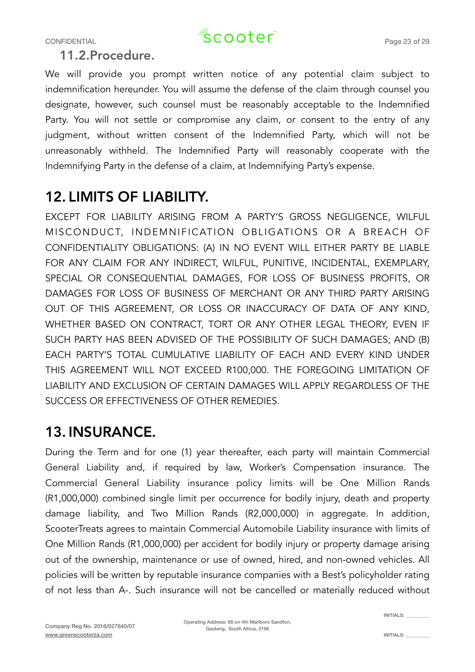11.2.Procedure.

We will provide you prompt written notice of any potential claim subject to indemnification hereunder. You will assume the defense of the claim through counsel you designate, however, such counsel must be reasonably acceptable to the Indemnified Party. You will not settle or compromise any claim, or consent to the entry of any judgment, without written consent of the Indemnified Party, which will not be unreasonably withheld. The Indemnified Party will reasonably cooperate with the Indemnifying Party in the defense of a claim, at Indemnifying Party's expense.

### 12. LIMITS OF LIABILITY.

EXCEPT FOR LIABILITY ARISING FROM A PARTY'S GROSS NEGLIGENCE, WILFUL MISCONDUCT, INDEMNIFICATION OBLIGATIONS OR A BREACH OF CONFIDENTIALITY OBLIGATIONS: (A) IN NO EVENT WILL EITHER PARTY BE LIABLE FOR ANY CLAIM FOR ANY INDIRECT, WILFUL, PUNITIVE, INCIDENTAL, EXEMPLARY, SPECIAL OR CONSEQUENTIAL DAMAGES, FOR LOSS OF BUSINESS PROFITS, OR DAMAGES FOR LOSS OF BUSINESS OF MERCHANT OR ANY THIRD PARTY ARISING OUT OF THIS AGREEMENT, OR LOSS OR INACCURACY OF DATA OF ANY KIND, WHETHER BASED ON CONTRACT, TORT OR ANY OTHER LEGAL THEORY, EVEN IF SUCH PARTY HAS BEEN ADVISED OF THE POSSIBILITY OF SUCH DAMAGES; AND (B) EACH PARTY'S TOTAL CUMULATIVE LIABILITY OF EACH AND EVERY KIND UNDER THIS AGREEMENT WILL NOT EXCEED R100,000. THE FOREGOING LIMITATION OF LIABILITY AND EXCLUSION OF CERTAIN DAMAGES WILL APPLY REGARDLESS OF THE SUCCESS OR EFFECTIVENESS OF OTHER REMEDIES.

### 13. INSURANCE.

During the Term and for one (1) year thereafter, each party will maintain Commercial General Liability and, if required by law, Worker's Compensation insurance. The Commercial General Liability insurance policy limits will be One Million Rands (R1,000,000) combined single limit per occurrence for bodily injury, death and property damage liability, and Two Million Rands (R2,000,000) in aggregate. In addition, ScooterTreats agrees to maintain Commercial Automobile Liability insurance with limits of One Million Rands (R1,000,000) per accident for bodily injury or property damage arising out of the ownership, maintenance or use of owned, hired, and non-owned vehicles. All policies will be written by reputable insurance companies with a Best's policyholder rating of not less than A-. Such insurance will not be cancelled or materially reduced without

INITIALS: \_\_\_\_\_\_\_\_\_\_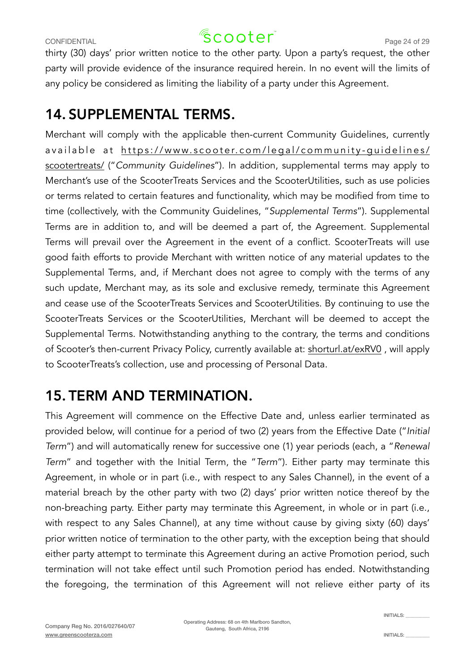thirty (30) days' prior written notice to the other party. Upon a party's request, the other party will provide evidence of the insurance required herein. In no event will the limits of any policy be considered as limiting the liability of a party under this Agreement.

### 14. SUPPLEMENTAL TERMS.

Merchant will comply with the applicable then-current Community Guidelines, currently available at [https://www.scooter.com/legal/community-guidelines/](https://www.scooter.com/legal/community-guidelines/scootertreats/) [scootertreats/](https://www.scooter.com/legal/community-guidelines/scootertreats/) ("*Community Guidelines*"). In addition, supplemental terms may apply to Merchant's use of the ScooterTreats Services and the ScooterUtilities, such as use policies or terms related to certain features and functionality, which may be modified from time to time (collectively, with the Community Guidelines, "*Supplemental Terms*"). Supplemental Terms are in addition to, and will be deemed a part of, the Agreement. Supplemental Terms will prevail over the Agreement in the event of a conflict. ScooterTreats will use good faith efforts to provide Merchant with written notice of any material updates to the Supplemental Terms, and, if Merchant does not agree to comply with the terms of any such update, Merchant may, as its sole and exclusive remedy, terminate this Agreement and cease use of the ScooterTreats Services and ScooterUtilities. By continuing to use the ScooterTreats Services or the ScooterUtilities, Merchant will be deemed to accept the Supplemental Terms. Notwithstanding anything to the contrary, the terms and conditions of Scooter's then-current Privacy Policy, currently available at: [shorturl.at/exRV0](http://shorturl.at/exRV0) , will apply to ScooterTreats's collection, use and processing of Personal Data.

### 15. TERM AND TERMINATION.

This Agreement will commence on the Effective Date and, unless earlier terminated as provided below, will continue for a period of two (2) years from the Effective Date ("*Initial Term*") and will automatically renew for successive one (1) year periods (each, a "*Renewal Term*" and together with the Initial Term, the "*Term*"). Either party may terminate this Agreement, in whole or in part (i.e., with respect to any Sales Channel), in the event of a material breach by the other party with two (2) days' prior written notice thereof by the non-breaching party. Either party may terminate this Agreement, in whole or in part (i.e., with respect to any Sales Channel), at any time without cause by giving sixty (60) days' prior written notice of termination to the other party, with the exception being that should either party attempt to terminate this Agreement during an active Promotion period, such termination will not take effect until such Promotion period has ended. Notwithstanding the foregoing, the termination of this Agreement will not relieve either party of its

 $INTIAI$   $S$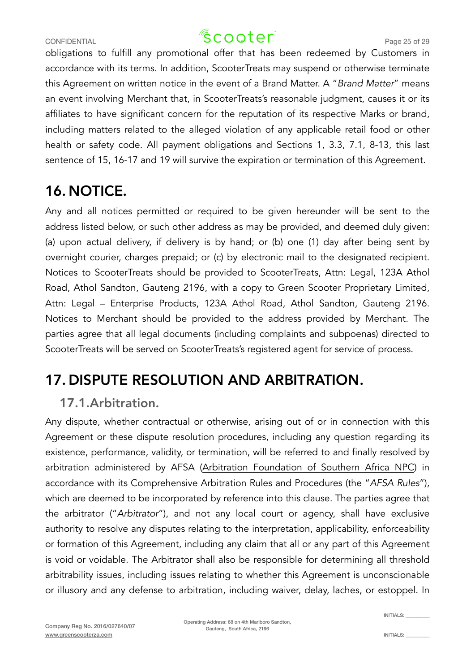### CONFIDENTIAL CONFIDENTIAL  $\sqrt{2}$  COOter<sup>"</sup> Page 25 of 29

obligations to fulfill any promotional offer that has been redeemed by Customers in accordance with its terms. In addition, ScooterTreats may suspend or otherwise terminate this Agreement on written notice in the event of a Brand Matter. A "*Brand Matter*" means an event involving Merchant that, in ScooterTreats's reasonable judgment, causes it or its affiliates to have significant concern for the reputation of its respective Marks or brand, including matters related to the alleged violation of any applicable retail food or other health or safety code. All payment obligations and Sections 1, 3.3, 7.1, 8-13, this last sentence of 15, 16-17 and 19 will survive the expiration or termination of this Agreement.

### 16.NOTICE.

Any and all notices permitted or required to be given hereunder will be sent to the address listed below, or such other address as may be provided, and deemed duly given: (a) upon actual delivery, if delivery is by hand; or (b) one (1) day after being sent by overnight courier, charges prepaid; or (c) by electronic mail to the designated recipient. Notices to ScooterTreats should be provided to ScooterTreats, Attn: Legal, 123A Athol Road, Athol Sandton, Gauteng 2196, with a copy to Green Scooter Proprietary Limited, Attn: Legal – Enterprise Products, 123A Athol Road, Athol Sandton, Gauteng 2196. Notices to Merchant should be provided to the address provided by Merchant. The parties agree that all legal documents (including complaints and subpoenas) directed to ScooterTreats will be served on ScooterTreats's registered agent for service of process.

### 17. DISPUTE RESOLUTION AND ARBITRATION.

### 17.1.Arbitration.

Any dispute, whether contractual or otherwise, arising out of or in connection with this Agreement or these dispute resolution procedures, including any question regarding its existence, performance, validity, or termination, will be referred to and finally resolved by arbitration administered by AFSA ([Arbitration Foundation of Southern Africa NPC](https://arbitration.co.za/domestic-arbitration/commercial-rules/)) in accordance with its Comprehensive Arbitration Rules and Procedures (the "*AFSA Rules*"), which are deemed to be incorporated by reference into this clause. The parties agree that the arbitrator ("*Arbitrator*"), and not any local court or agency, shall have exclusive authority to resolve any disputes relating to the interpretation, applicability, enforceability or formation of this Agreement, including any claim that all or any part of this Agreement is void or voidable. The Arbitrator shall also be responsible for determining all threshold arbitrability issues, including issues relating to whether this Agreement is unconscionable or illusory and any defense to arbitration, including waiver, delay, laches, or estoppel. In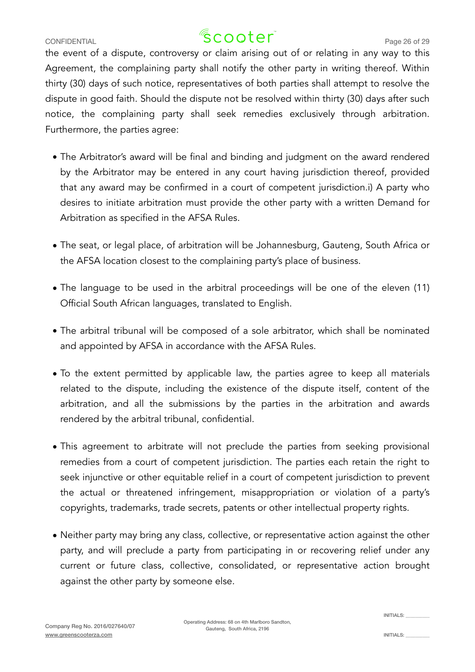## CONFIDENTIAL CONFIDENTIAL  $\sqrt{2}$  COO $\text{ter}^2$  Page 26 of 29

the event of a dispute, controversy or claim arising out of or relating in any way to this Agreement, the complaining party shall notify the other party in writing thereof. Within thirty (30) days of such notice, representatives of both parties shall attempt to resolve the dispute in good faith. Should the dispute not be resolved within thirty (30) days after such notice, the complaining party shall seek remedies exclusively through arbitration. Furthermore, the parties agree:

- The Arbitrator's award will be final and binding and judgment on the award rendered by the Arbitrator may be entered in any court having jurisdiction thereof, provided that any award may be confirmed in a court of competent jurisdiction.i) A party who desires to initiate arbitration must provide the other party with a written Demand for Arbitration as specified in the AFSA Rules.
- The seat, or legal place, of arbitration will be Johannesburg, Gauteng, South Africa or the AFSA location closest to the complaining party's place of business.
- The language to be used in the arbitral proceedings will be one of the eleven (11) Official South African languages, translated to English.
- The arbitral tribunal will be composed of a sole arbitrator, which shall be nominated and appointed by AFSA in accordance with the AFSA Rules.
- To the extent permitted by applicable law, the parties agree to keep all materials related to the dispute, including the existence of the dispute itself, content of the arbitration, and all the submissions by the parties in the arbitration and awards rendered by the arbitral tribunal, confidential.
- This agreement to arbitrate will not preclude the parties from seeking provisional remedies from a court of competent jurisdiction. The parties each retain the right to seek injunctive or other equitable relief in a court of competent jurisdiction to prevent the actual or threatened infringement, misappropriation or violation of a party's copyrights, trademarks, trade secrets, patents or other intellectual property rights.
- Neither party may bring any class, collective, or representative action against the other party, and will preclude a party from participating in or recovering relief under any current or future class, collective, consolidated, or representative action brought against the other party by someone else.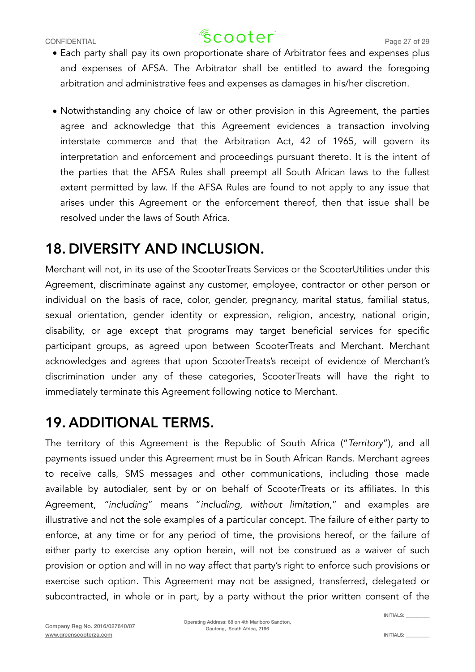- Each party shall pay its own proportionate share of Arbitrator fees and expenses plus and expenses of AFSA. The Arbitrator shall be entitled to award the foregoing arbitration and administrative fees and expenses as damages in his/her discretion.
- Notwithstanding any choice of law or other provision in this Agreement, the parties agree and acknowledge that this Agreement evidences a transaction involving interstate commerce and that the Arbitration Act, 42 of 1965, will govern its interpretation and enforcement and proceedings pursuant thereto. It is the intent of the parties that the AFSA Rules shall preempt all South African laws to the fullest extent permitted by law. If the AFSA Rules are found to not apply to any issue that arises under this Agreement or the enforcement thereof, then that issue shall be resolved under the laws of South Africa.

### 18. DIVERSITY AND INCLUSION.

Merchant will not, in its use of the ScooterTreats Services or the ScooterUtilities under this Agreement, discriminate against any customer, employee, contractor or other person or individual on the basis of race, color, gender, pregnancy, marital status, familial status, sexual orientation, gender identity or expression, religion, ancestry, national origin, disability, or age except that programs may target beneficial services for specific participant groups, as agreed upon between ScooterTreats and Merchant. Merchant acknowledges and agrees that upon ScooterTreats's receipt of evidence of Merchant's discrimination under any of these categories, ScooterTreats will have the right to immediately terminate this Agreement following notice to Merchant.

### 19. ADDITIONAL TERMS.

The territory of this Agreement is the Republic of South Africa ("*Territory*"), and all payments issued under this Agreement must be in South African Rands. Merchant agrees to receive calls, SMS messages and other communications, including those made available by autodialer, sent by or on behalf of ScooterTreats or its affiliates. In this Agreement, *"including*" means "*including, without limitation*," and examples are illustrative and not the sole examples of a particular concept. The failure of either party to enforce, at any time or for any period of time, the provisions hereof, or the failure of either party to exercise any option herein, will not be construed as a waiver of such provision or option and will in no way affect that party's right to enforce such provisions or exercise such option. This Agreement may not be assigned, transferred, delegated or subcontracted, in whole or in part, by a party without the prior written consent of the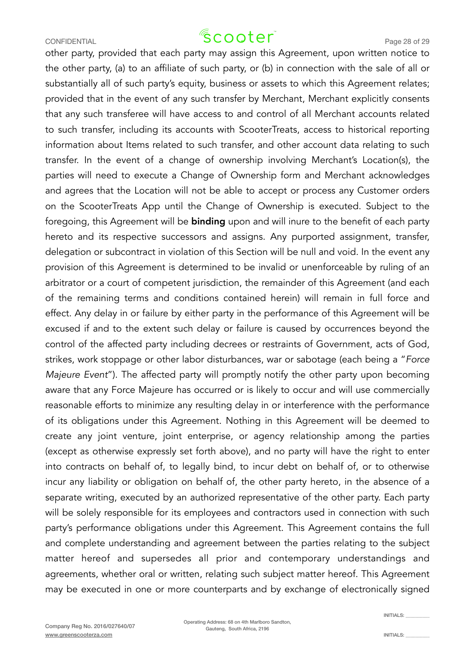other party, provided that each party may assign this Agreement, upon written notice to the other party, (a) to an affiliate of such party, or (b) in connection with the sale of all or substantially all of such party's equity, business or assets to which this Agreement relates; provided that in the event of any such transfer by Merchant, Merchant explicitly consents that any such transferee will have access to and control of all Merchant accounts related to such transfer, including its accounts with ScooterTreats, access to historical reporting information about Items related to such transfer, and other account data relating to such transfer. In the event of a change of ownership involving Merchant's Location(s), the parties will need to execute a Change of Ownership form and Merchant acknowledges and agrees that the Location will not be able to accept or process any Customer orders on the ScooterTreats App until the Change of Ownership is executed. Subject to the foregoing, this Agreement will be **binding** upon and will inure to the benefit of each party hereto and its respective successors and assigns. Any purported assignment, transfer, delegation or subcontract in violation of this Section will be null and void. In the event any provision of this Agreement is determined to be invalid or unenforceable by ruling of an arbitrator or a court of competent jurisdiction, the remainder of this Agreement (and each of the remaining terms and conditions contained herein) will remain in full force and effect. Any delay in or failure by either party in the performance of this Agreement will be excused if and to the extent such delay or failure is caused by occurrences beyond the control of the affected party including decrees or restraints of Government, acts of God, strikes, work stoppage or other labor disturbances, war or sabotage (each being a "*Force Majeure Event*"). The affected party will promptly notify the other party upon becoming aware that any Force Majeure has occurred or is likely to occur and will use commercially reasonable efforts to minimize any resulting delay in or interference with the performance of its obligations under this Agreement. Nothing in this Agreement will be deemed to create any joint venture, joint enterprise, or agency relationship among the parties (except as otherwise expressly set forth above), and no party will have the right to enter into contracts on behalf of, to legally bind, to incur debt on behalf of, or to otherwise incur any liability or obligation on behalf of, the other party hereto, in the absence of a separate writing, executed by an authorized representative of the other party. Each party will be solely responsible for its employees and contractors used in connection with such party's performance obligations under this Agreement. This Agreement contains the full and complete understanding and agreement between the parties relating to the subject matter hereof and supersedes all prior and contemporary understandings and agreements, whether oral or written, relating such subject matter hereof. This Agreement may be executed in one or more counterparts and by exchange of electronically signed

 $INTIAI$   $S$